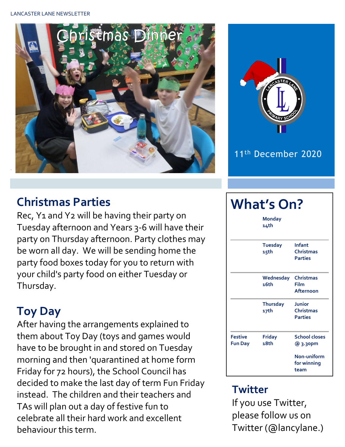



## **Christmas Parties**

Rec, Y1 and Y2 will be having their party on Tuesday afternoon and Years 3-6 will have their party on Thursday afternoon. Party clothes may be worn all day. We will be sending home the party food boxes today for you to return with your child's party food on either Tuesday or Thursday.

# **Toy Day**

After having the arrangements explained to them about Toy Day (toys and games would have to be brought in and stored on Tuesday morning and then 'quarantined at home form Friday for 72 hours), the School Council has decided to make the last day of term Fun Friday instead. The children and their teachers and TAs will plan out a day of festive fun to celebrate all their hard work and excellent behaviour this term.

### **What's On?**

|                                  | <b>Monday</b><br>14th   |                                              |  |  |
|----------------------------------|-------------------------|----------------------------------------------|--|--|
|                                  | <b>Tuesday</b><br>15th  | Infant<br><b>Christmas</b><br><b>Parties</b> |  |  |
|                                  | Wednesday<br>16th       | <b>Christmas</b><br>Film<br>Afternoon        |  |  |
|                                  | <b>Thursday</b><br>17th | Junior<br><b>Christmas</b><br><b>Parties</b> |  |  |
| <b>Festive</b><br><b>Fun Day</b> | <b>Friday</b><br>18th   | <b>School closes</b><br>@ 3.30pm             |  |  |
|                                  |                         | Non-uniform<br>for winning<br>team           |  |  |

#### **Twitter**

If you use Twitter, please follow us on Twitter (@lancylane.)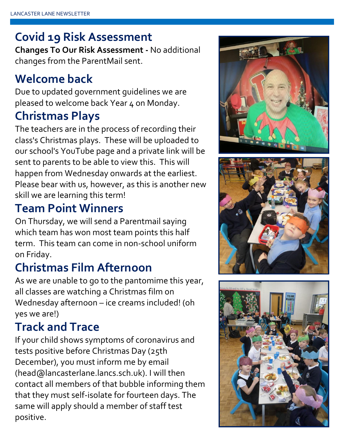## **Covid 19 Risk Assessment**

**Changes To Our Risk Assessment -** No additional changes from the ParentMail sent.

## **Welcome back**

Due to updated government guidelines we are pleased to welcome back Year 4 on Monday.

#### **Christmas Plays**

The teachers are in the process of recording their class's Christmas plays. These will be uploaded to our school's YouTube page and a private link will be sent to parents to be able to view this. This will happen from Wednesday onwards at the earliest. Please bear with us, however, as this is another new skill we are learning this term!

## **Team Point Winners**

On Thursday, we will send a Parentmail saying which team has won most team points this half term. This team can come in non-school uniform on Friday.

## **Christmas Film Afternoon**

As we are unable to go to the pantomime this year, all classes are watching a Christmas film on Wednesday afternoon – ice creams included! (oh yes we are!)

# **Track and Trace**

If your child shows symptoms of coronavirus and tests positive before Christmas Day (25th December), you must inform me by email (head@lancasterlane.lancs.sch.uk). I will then contact all members of that bubble informing them that they must self-isolate for fourteen days. The same will apply should a member of staff test positive.